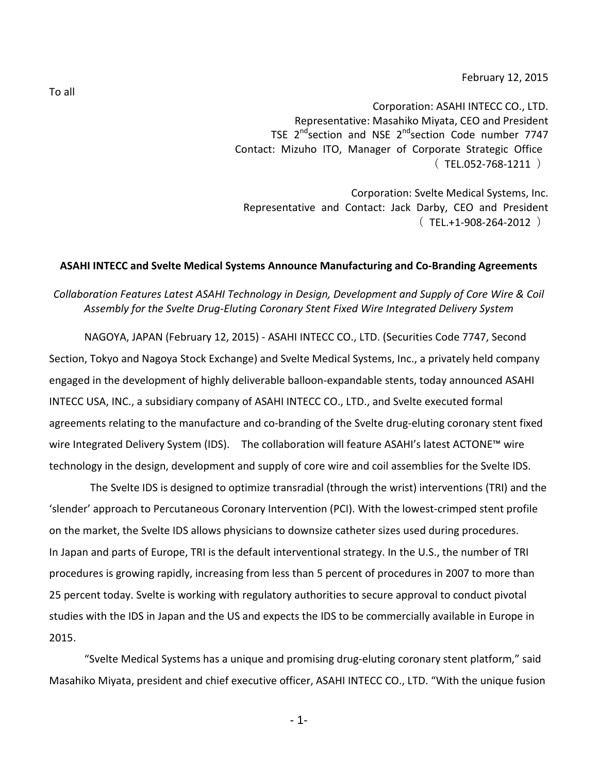February 12, 2015

Corporation: ASAHI INTECC CO., LTD. Representative: Masahiko Miyata, CEO and President TSE 2<sup>nd</sup>section and NSE 2<sup>nd</sup>section Code number 7747 Contact: Mizuho ITO, Manager of Corporate Strategic Office  $(TEL.052-768-1211)$ 

Corporation: Svelte Medical Systems, Inc. Representative and Contact: Jack Darby, CEO and President  $(TEL.+1-908-264-2012)$ 

## **ASAHI INTECC and Svelte Medical Systems Announce Manufacturing and Co-Branding Agreements**

## *Collaboration Features Latest ASAHI Technology in Design, Development and Supply of Core Wire & Coil Assembly for the Svelte Drug-Eluting Coronary Stent Fixed Wire Integrated Delivery System*

NAGOYA, JAPAN (February 12, 2015) - ASAHI INTECC CO., LTD. (Securities Code 7747, Second Section, Tokyo and Nagoya Stock Exchange) and Svelte Medical Systems, Inc., a privately held company engaged in the development of highly deliverable balloon-expandable stents, today announced ASAHI INTECC USA, INC., a subsidiary company of ASAHI INTECC CO., LTD., and Svelte executed formal agreements relating to the manufacture and co-branding of the Svelte drug-eluting coronary stent fixed wire Integrated Delivery System (IDS). The collaboration will feature ASAHI's latest ACTONE™ wire technology in the design, development and supply of core wire and coil assemblies for the Svelte IDS.

The Svelte IDS is designed to optimize transradial (through the wrist) interventions (TRI) and the 'slender' approach to Percutaneous Coronary Intervention (PCI). With the lowest-crimped stent profile on the market, the Svelte IDS allows physicians to downsize catheter sizes used during procedures. In Japan and parts of Europe, TRI is the default interventional strategy. In the U.S., the number of TRI procedures is growing rapidly, increasing from less than 5 percent of procedures in 2007 to more than 25 percent today. Svelte is working with regulatory authorities to secure approval to conduct pivotal studies with the IDS in Japan and the US and expects the IDS to be commercially available in Europe in 2015.

"Svelte Medical Systems has a unique and promising drug-eluting coronary stent platform," said Masahiko Miyata, president and chief executive officer, ASAHI INTECC CO., LTD. "With the unique fusion

To all